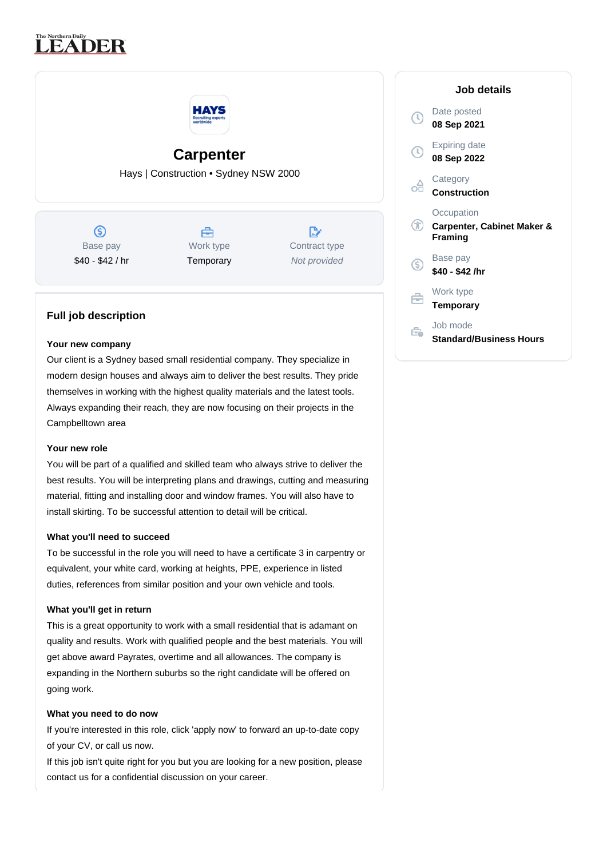# **LEADER**



## **Carpenter**

Hays | Construction • Sydney NSW 2000

 $\circledS$ Base pay \$40 - \$42 / hr



 $\mathbb{R}^{\circ}$ Contract type Not provided

### **Full job description**

#### **Your new company**

Our client is a Sydney based small residential company. They specialize in modern design houses and always aim to deliver the best results. They pride themselves in working with the highest quality materials and the latest tools. Always expanding their reach, they are now focusing on their projects in the Campbelltown area

#### **Your new role**

You will be part of a qualified and skilled team who always strive to deliver the best results. You will be interpreting plans and drawings, cutting and measuring material, fitting and installing door and window frames. You will also have to install skirting. To be successful attention to detail will be critical.

#### **What you'll need to succeed**

To be successful in the role you will need to have a certificate 3 in carpentry or equivalent, your white card, working at heights, PPE, experience in listed duties, references from similar position and your own vehicle and tools.

#### **What you'll get in return**

This is a great opportunity to work with a small residential that is adamant on quality and results. Work with qualified people and the best materials. You will get above award Payrates, overtime and all allowances. The company is expanding in the Northern suburbs so the right candidate will be offered on going work.

#### **What you need to do now**

If you're interested in this role, click 'apply now' to forward an up-to-date copy of your CV, or call us now.

If this job isn't quite right for you but you are looking for a new position, please contact us for a confidential discussion on your career.

|     | Job details                                                    |
|-----|----------------------------------------------------------------|
|     | Date posted<br>08 Sep 2021                                     |
|     | <b>Expiring date</b><br>08 Sep 2022                            |
|     | Category<br><b>Construction</b>                                |
| Œ,  | Occupation<br><b>Carpenter, Cabinet Maker &amp;</b><br>Framing |
| (\$ | Base pay<br>\$40 - \$42 /hr                                    |
|     | Work type<br>Temporary                                         |
|     | Job mode<br>Standard/Business Hours                            |